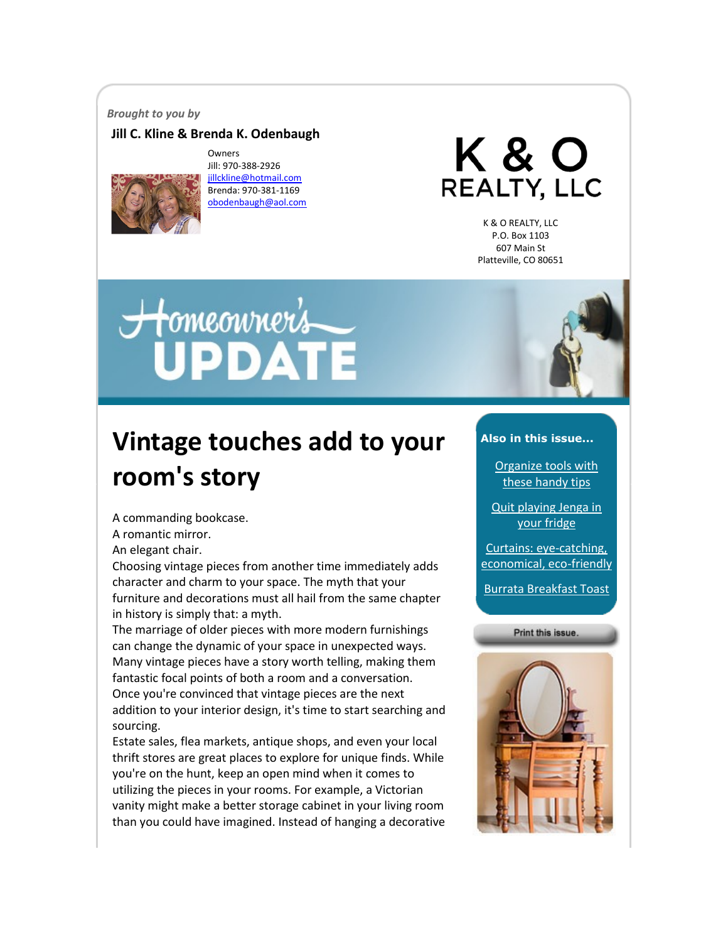#### *Brought to you by*

#### **Jill C. Kline & Brenda K. Odenbaugh**



Owners Jill: 970-388-2926 [jillckline@hotmail.com](mailto:jillckline@hotmail.com) Brenda: 970-381-1169 [obodenbaugh@aol.com](mailto:obodenbaugh@aol.com)

K & O REALTY, LLC

K & O REALTY, LLC P.O. Box 1103 607 Main St Platteville, CO 80651

# Homeonner's



## **Vintage touches add to your room's story**

A commanding bookcase.

A romantic mirror.

An elegant chair.

Choosing vintage pieces from another time immediately adds character and charm to your space. The myth that your furniture and decorations must all hail from the same chapter in history is simply that: a myth.

The marriage of older pieces with more modern furnishings can change the dynamic of your space in unexpected ways. Many vintage pieces have a story worth telling, making them fantastic focal points of both a room and a conversation. Once you're convinced that vintage pieces are the next addition to your interior design, it's time to start searching and sourcing.

Estate sales, flea markets, antique shops, and even your local thrift stores are great places to explore for unique finds. While you're on the hunt, keep an open mind when it comes to utilizing the pieces in your rooms. For example, a Victorian vanity might make a better storage cabinet in your living room than you could have imagined. Instead of hanging a decorative

#### **Also in this issue...**

[Organize tools with](#page-1-0)  [these handy tips](#page-1-0)

[Quit playing Jenga in](#page-1-1)  [your fridge](#page-1-1)

[Curtains: eye-catching,](#page-2-0)  [economical, eco-friendly](#page-2-0)

[Burrata Breakfast Toast](#page-3-0)

Print this issue.

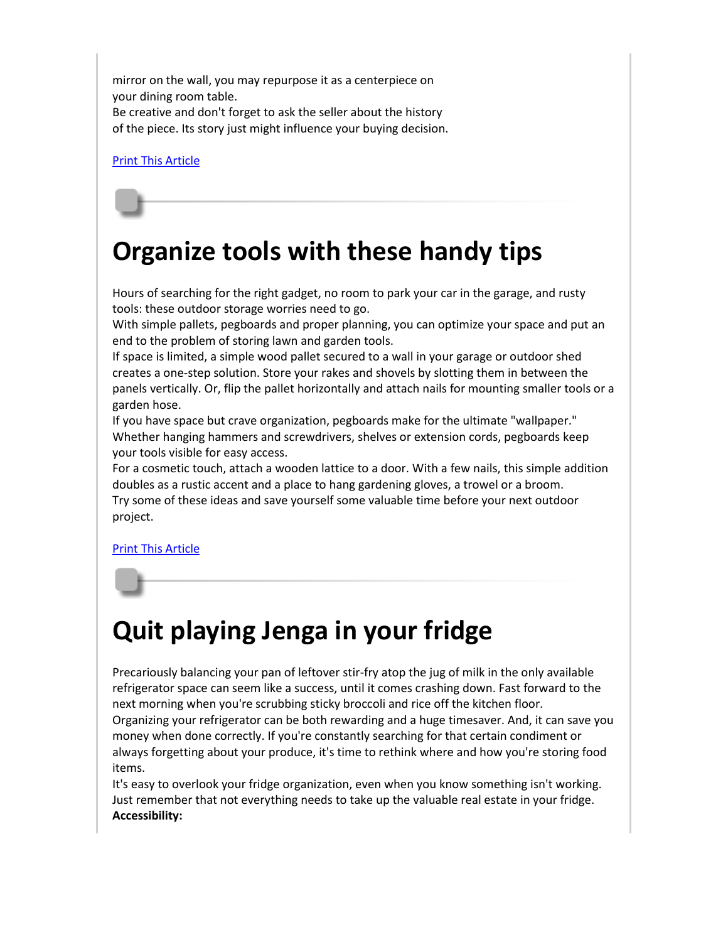mirror on the wall, you may repurpose it as a centerpiece on your dining room table.

Be creative and don't forget to ask the seller about the history of the piece. Its story just might influence your buying decision.

[Print This Article](http://www.tpmco.com/pmcwebdata/enewsletters/2018-04/3781345_1.html)

## <span id="page-1-0"></span>**Organize tools with these handy tips**

Hours of searching for the right gadget, no room to park your car in the garage, and rusty tools: these outdoor storage worries need to go.

With simple pallets, pegboards and proper planning, you can optimize your space and put an end to the problem of storing lawn and garden tools.

If space is limited, a simple wood pallet secured to a wall in your garage or outdoor shed creates a one-step solution. Store your rakes and shovels by slotting them in between the panels vertically. Or, flip the pallet horizontally and attach nails for mounting smaller tools or a garden hose.

If you have space but crave organization, pegboards make for the ultimate "wallpaper." Whether hanging hammers and screwdrivers, shelves or extension cords, pegboards keep your tools visible for easy access.

For a cosmetic touch, attach a wooden lattice to a door. With a few nails, this simple addition doubles as a rustic accent and a place to hang gardening gloves, a trowel or a broom. Try some of these ideas and save yourself some valuable time before your next outdoor project.

[Print This Article](http://www.tpmco.com/pmcwebdata/enewsletters/2018-04/3781345_2.html)

## <span id="page-1-1"></span>**Quit playing Jenga in your fridge**

Precariously balancing your pan of leftover stir-fry atop the jug of milk in the only available refrigerator space can seem like a success, until it comes crashing down. Fast forward to the next morning when you're scrubbing sticky broccoli and rice off the kitchen floor. Organizing your refrigerator can be both rewarding and a huge timesaver. And, it can save you money when done correctly. If you're constantly searching for that certain condiment or always forgetting about your produce, it's time to rethink where and how you're storing food items.

It's easy to overlook your fridge organization, even when you know something isn't working. Just remember that not everything needs to take up the valuable real estate in your fridge. **Accessibility:**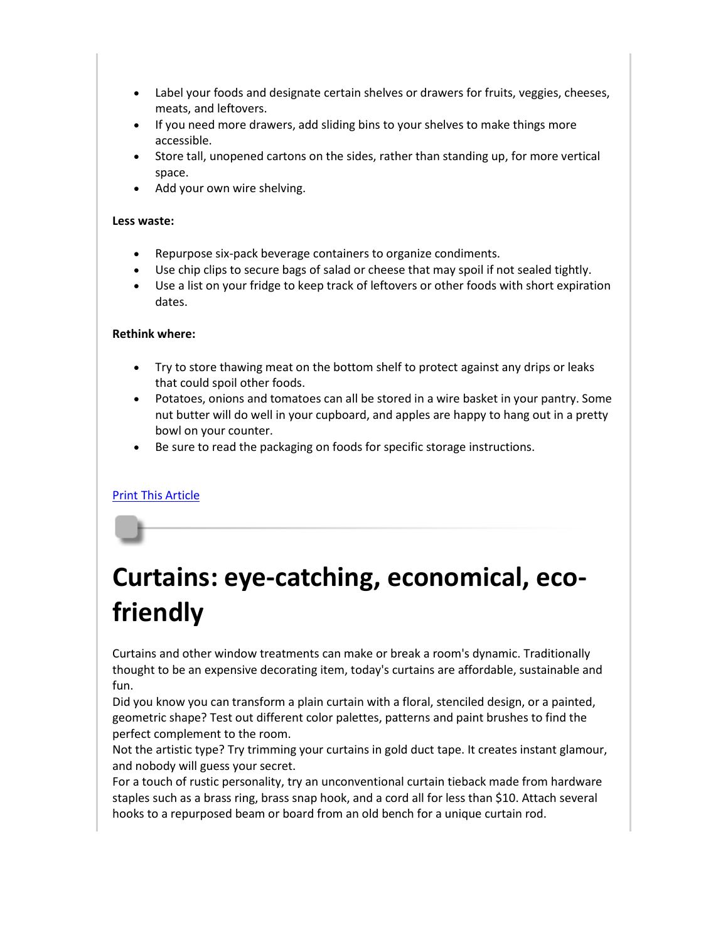- Label your foods and designate certain shelves or drawers for fruits, veggies, cheeses, meats, and leftovers.
- If you need more drawers, add sliding bins to your shelves to make things more accessible.
- Store tall, unopened cartons on the sides, rather than standing up, for more vertical space.
- Add your own wire shelving.

#### **Less waste:**

- Repurpose six-pack beverage containers to organize condiments.
- Use chip clips to secure bags of salad or cheese that may spoil if not sealed tightly.
- Use a list on your fridge to keep track of leftovers or other foods with short expiration dates.

#### **Rethink where:**

- Try to store thawing meat on the bottom shelf to protect against any drips or leaks that could spoil other foods.
- Potatoes, onions and tomatoes can all be stored in a wire basket in your pantry. Some nut butter will do well in your cupboard, and apples are happy to hang out in a pretty bowl on your counter.
- Be sure to read the packaging on foods for specific storage instructions.

#### [Print This Article](http://www.tpmco.com/pmcwebdata/enewsletters/2018-04/3781345_3.html)

## <span id="page-2-0"></span>**Curtains: eye-catching, economical, ecofriendly**

Curtains and other window treatments can make or break a room's dynamic. Traditionally thought to be an expensive decorating item, today's curtains are affordable, sustainable and fun.

Did you know you can transform a plain curtain with a floral, stenciled design, or a painted, geometric shape? Test out different color palettes, patterns and paint brushes to find the perfect complement to the room.

Not the artistic type? Try trimming your curtains in gold duct tape. It creates instant glamour, and nobody will guess your secret.

For a touch of rustic personality, try an unconventional curtain tieback made from hardware staples such as a brass ring, brass snap hook, and a cord all for less than \$10. Attach several hooks to a repurposed beam or board from an old bench for a unique curtain rod.